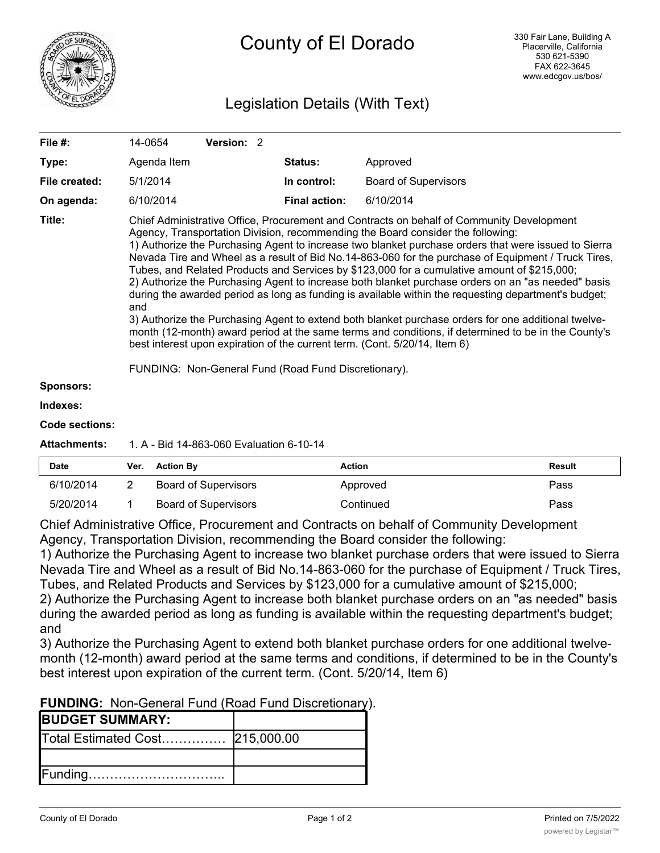

# Legislation Details (With Text)

| File #:          | 14-0654                                                                                                                                                                                                                                                                                                                                                                                                                                                                                                                                                                                                                                                                                                                                                                                                                                                                                                                                                                                                                                                             | <b>Version: 2</b> |                      |                             |
|------------------|---------------------------------------------------------------------------------------------------------------------------------------------------------------------------------------------------------------------------------------------------------------------------------------------------------------------------------------------------------------------------------------------------------------------------------------------------------------------------------------------------------------------------------------------------------------------------------------------------------------------------------------------------------------------------------------------------------------------------------------------------------------------------------------------------------------------------------------------------------------------------------------------------------------------------------------------------------------------------------------------------------------------------------------------------------------------|-------------------|----------------------|-----------------------------|
| Type:            | Agenda Item                                                                                                                                                                                                                                                                                                                                                                                                                                                                                                                                                                                                                                                                                                                                                                                                                                                                                                                                                                                                                                                         |                   | <b>Status:</b>       | Approved                    |
| File created:    | 5/1/2014                                                                                                                                                                                                                                                                                                                                                                                                                                                                                                                                                                                                                                                                                                                                                                                                                                                                                                                                                                                                                                                            |                   | In control:          | <b>Board of Supervisors</b> |
| On agenda:       | 6/10/2014                                                                                                                                                                                                                                                                                                                                                                                                                                                                                                                                                                                                                                                                                                                                                                                                                                                                                                                                                                                                                                                           |                   | <b>Final action:</b> | 6/10/2014                   |
| Title:           | Chief Administrative Office, Procurement and Contracts on behalf of Community Development<br>Agency, Transportation Division, recommending the Board consider the following:<br>1) Authorize the Purchasing Agent to increase two blanket purchase orders that were issued to Sierra<br>Nevada Tire and Wheel as a result of Bid No.14-863-060 for the purchase of Equipment / Truck Tires,<br>Tubes, and Related Products and Services by \$123,000 for a cumulative amount of \$215,000;<br>2) Authorize the Purchasing Agent to increase both blanket purchase orders on an "as needed" basis<br>during the awarded period as long as funding is available within the requesting department's budget;<br>and<br>3) Authorize the Purchasing Agent to extend both blanket purchase orders for one additional twelve-<br>month (12-month) award period at the same terms and conditions, if determined to be in the County's<br>best interest upon expiration of the current term. (Cont. 5/20/14, Item 6)<br>FUNDING: Non-General Fund (Road Fund Discretionary). |                   |                      |                             |
| <b>Sponsors:</b> |                                                                                                                                                                                                                                                                                                                                                                                                                                                                                                                                                                                                                                                                                                                                                                                                                                                                                                                                                                                                                                                                     |                   |                      |                             |
|                  |                                                                                                                                                                                                                                                                                                                                                                                                                                                                                                                                                                                                                                                                                                                                                                                                                                                                                                                                                                                                                                                                     |                   |                      |                             |

#### **Indexes:**

#### **Code sections:**

#### **Attachments:** 1. A - Bid 14-863-060 Evaluation 6-10-14

| <b>Date</b> | Ver. | <b>Action By</b>     | Action    | Result |
|-------------|------|----------------------|-----------|--------|
| 6/10/2014   |      | Board of Supervisors | Approved  | Pass   |
| 5/20/2014   |      | Board of Supervisors | Continued | Pass   |

Chief Administrative Office, Procurement and Contracts on behalf of Community Development Agency, Transportation Division, recommending the Board consider the following:

1) Authorize the Purchasing Agent to increase two blanket purchase orders that were issued to Sierra Nevada Tire and Wheel as a result of Bid No.14-863-060 for the purchase of Equipment / Truck Tires, Tubes, and Related Products and Services by \$123,000 for a cumulative amount of \$215,000;

2) Authorize the Purchasing Agent to increase both blanket purchase orders on an "as needed" basis during the awarded period as long as funding is available within the requesting department's budget; and

3) Authorize the Purchasing Agent to extend both blanket purchase orders for one additional twelvemonth (12-month) award period at the same terms and conditions, if determined to be in the County's best interest upon expiration of the current term. (Cont. 5/20/14, Item 6)

## **FUNDING:** Non-General Fund (Road Fund Discretionary).

| <b>BUDGET SUMMARY:</b>           |  |
|----------------------------------|--|
| Total Estimated Cost  215,000.00 |  |
|                                  |  |
|                                  |  |